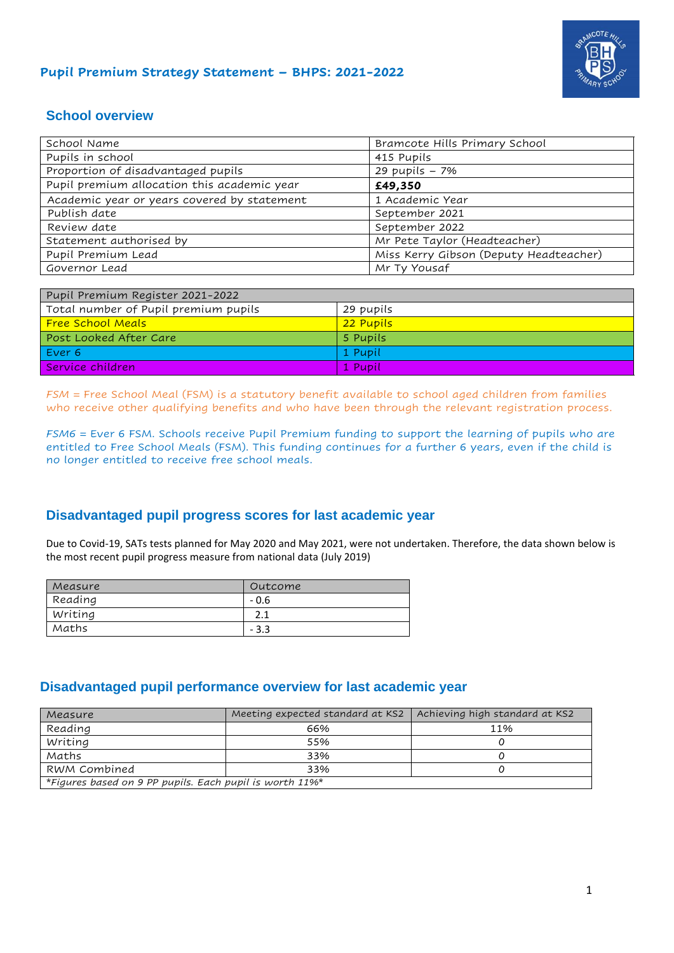

#### **Pupil Premium Strategy Statement – BHPS: 2021-2022**

### **School overview**

| School Name                                 | Bramcote Hills Primary School          |
|---------------------------------------------|----------------------------------------|
| Pupils in school                            | 415 Pupils                             |
| Proportion of disadvantaged pupils          | 29 pupils - 7%                         |
| Pupil premium allocation this academic year | £49,350                                |
| Academic year or years covered by statement | 1 Academic Year                        |
| Publish date                                | September 2021                         |
| Review date                                 | September 2022                         |
| Statement authorised by                     | Mr Pete Taylor (Headteacher)           |
| Pupil Premium Lead                          | Miss Kerry Gibson (Deputy Headteacher) |
| Governor Lead                               | Mr Ty Yousaf                           |

| Pupil Premium Register 2021-2022     |           |  |  |  |
|--------------------------------------|-----------|--|--|--|
| Total number of Pupil premium pupils | 29 pupils |  |  |  |
| <b>Free School Meals</b>             | 22 Pubils |  |  |  |
| Post Looked After Care               | 5 Pupils  |  |  |  |
| Ever 6                               | 1 Pupil   |  |  |  |
| Service children                     | 1 Pubil   |  |  |  |

*FSM =* Free School Meal (FSM) is a statutory benefit available to school aged children from families who receive other qualifying benefits and who have been through the relevant registration process.

*FSM6* = Ever 6 FSM. Schools receive Pupil Premium funding to support the learning of pupils who are entitled to Free School Meals (FSM). This funding continues for a further 6 years, even if the child is no longer entitled to receive free school meals.

#### **Disadvantaged pupil progress scores for last academic year**

Due to Covid-19, SATs tests planned for May 2020 and May 2021, were not undertaken. Therefore, the data shown below is the most recent pupil progress measure from national data (July 2019)

| Measure | Outcome |
|---------|---------|
| Reading | $-0.6$  |
| Writing | ົາ      |
| Maths   | - 3.3   |

#### **Disadvantaged pupil performance overview for last academic year**

| Measure                                                 | Meeting expected standard at KS2   Achieving high standard at KS2 |     |  |  |  |
|---------------------------------------------------------|-------------------------------------------------------------------|-----|--|--|--|
| Reading                                                 | 66%                                                               | 11% |  |  |  |
| Writing                                                 | 55%                                                               |     |  |  |  |
| Maths                                                   | 33%                                                               |     |  |  |  |
| RWM Combined<br>33%                                     |                                                                   |     |  |  |  |
| *Figures based on 9 PP pupils. Each pupil is worth 11%* |                                                                   |     |  |  |  |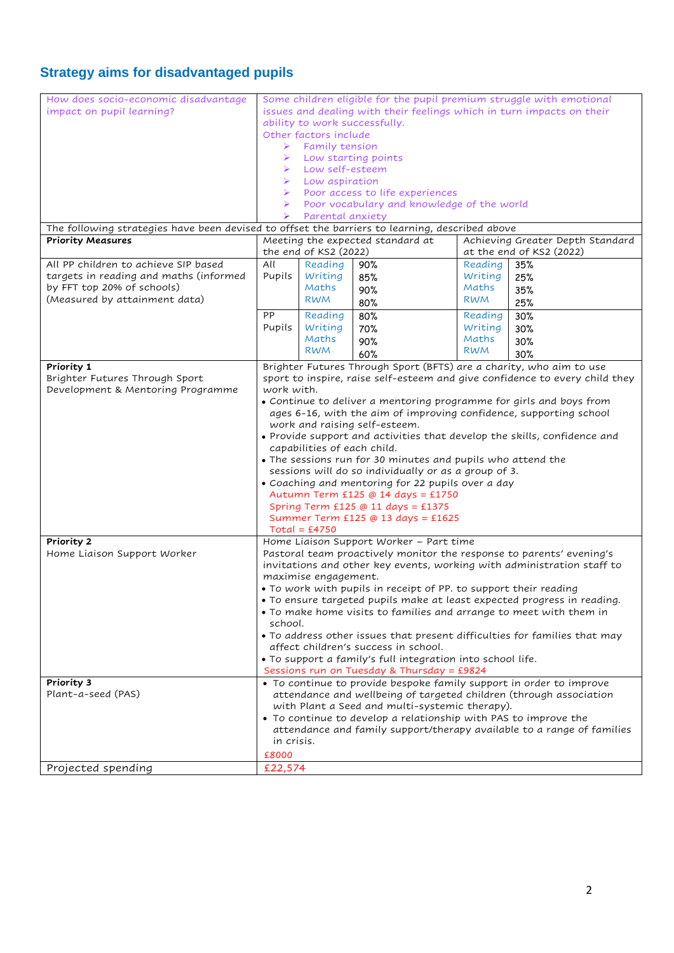## **Strategy aims for disadvantaged pupils**

| How does socio-economic disadvantage                                                           | Some children eligible for the pupil premium struggle with emotional                                              |                             |                                                                       |            |                                                                             |
|------------------------------------------------------------------------------------------------|-------------------------------------------------------------------------------------------------------------------|-----------------------------|-----------------------------------------------------------------------|------------|-----------------------------------------------------------------------------|
| impact on pupil learning?                                                                      |                                                                                                                   |                             | issues and dealing with their feelings which in turn impacts on their |            |                                                                             |
|                                                                                                |                                                                                                                   |                             | ability to work successfully.                                         |            |                                                                             |
|                                                                                                |                                                                                                                   | Other factors include       |                                                                       |            |                                                                             |
|                                                                                                | Family tension                                                                                                    |                             |                                                                       |            |                                                                             |
|                                                                                                |                                                                                                                   |                             | Low starting points                                                   |            |                                                                             |
|                                                                                                |                                                                                                                   | Low self-esteem             |                                                                       |            |                                                                             |
|                                                                                                |                                                                                                                   | Low aspiration              |                                                                       |            |                                                                             |
|                                                                                                | ➤                                                                                                                 |                             | Poor access to life experiences                                       |            |                                                                             |
|                                                                                                |                                                                                                                   |                             | Poor vocabulary and knowledge of the world                            |            |                                                                             |
|                                                                                                |                                                                                                                   | Parental anxiety            |                                                                       |            |                                                                             |
| The following strategies have been devised to offset the barriers to learning, described above |                                                                                                                   |                             |                                                                       |            |                                                                             |
| <b>Priority Measures</b>                                                                       |                                                                                                                   |                             | Meeting the expected standard at                                      |            | Achieving Greater Depth Standard                                            |
|                                                                                                |                                                                                                                   | the end of KS2 (2022)       |                                                                       |            | at the end of KS2 (2022)                                                    |
| All PP children to achieve SIP based                                                           | All                                                                                                               | Reading                     | 90%                                                                   | Reading    | 35%                                                                         |
| targets in reading and maths (informed                                                         | Pupils                                                                                                            | Writing                     | 85%                                                                   | Writing    | 25%                                                                         |
| by FFT top 20% of schools)                                                                     |                                                                                                                   | Maths                       | 90%                                                                   | Maths      | 35%                                                                         |
| (Measured by attainment data)                                                                  |                                                                                                                   | <b>RWM</b>                  |                                                                       | <b>RWM</b> |                                                                             |
|                                                                                                |                                                                                                                   |                             | 80%                                                                   |            | 25%                                                                         |
|                                                                                                | PP                                                                                                                | Reading                     | 80%                                                                   | Reading    | 30%                                                                         |
|                                                                                                | Pupils                                                                                                            | Writing                     | 70%                                                                   | Writing    | 30%                                                                         |
|                                                                                                |                                                                                                                   | Maths                       | 90%                                                                   | Maths      | 30%                                                                         |
|                                                                                                |                                                                                                                   | <b>RWM</b>                  | 60%                                                                   | <b>RWM</b> | 30%                                                                         |
| Priority 1                                                                                     |                                                                                                                   |                             | Brighter Futures Through Sport (BFTS) are a charity, who aim to use   |            |                                                                             |
| Brighter Futures Through Sport                                                                 |                                                                                                                   |                             |                                                                       |            | sport to inspire, raise self-esteem and give confidence to every child they |
| Development & Mentoring Programme                                                              | work with.                                                                                                        |                             |                                                                       |            |                                                                             |
|                                                                                                |                                                                                                                   |                             | • Continue to deliver a mentoring programme for girls and boys from   |            |                                                                             |
|                                                                                                |                                                                                                                   |                             | ages 6-16, with the aim of improving confidence, supporting school    |            |                                                                             |
|                                                                                                |                                                                                                                   |                             | work and raising self-esteem.                                         |            |                                                                             |
|                                                                                                |                                                                                                                   |                             |                                                                       |            | • Provide support and activities that develop the skills, confidence and    |
|                                                                                                |                                                                                                                   | capabilities of each child. |                                                                       |            |                                                                             |
|                                                                                                | . The sessions run for 30 minutes and pupils who attend the                                                       |                             |                                                                       |            |                                                                             |
|                                                                                                | sessions will do so individually or as a group of 3.                                                              |                             |                                                                       |            |                                                                             |
|                                                                                                | • Coaching and mentoring for 22 pupils over a day                                                                 |                             |                                                                       |            |                                                                             |
|                                                                                                | Autumn Term £125 @ 14 days = £1750                                                                                |                             |                                                                       |            |                                                                             |
|                                                                                                | Spring Term £125 @ 11 days = £1375                                                                                |                             |                                                                       |            |                                                                             |
|                                                                                                | Summer Term £125 @ 13 days = £1625                                                                                |                             |                                                                       |            |                                                                             |
|                                                                                                | $Total = £4750$                                                                                                   |                             |                                                                       |            |                                                                             |
| Priority 2                                                                                     | Home Liaison Support Worker - Part time                                                                           |                             |                                                                       |            |                                                                             |
| Home Liaison Support Worker                                                                    |                                                                                                                   |                             |                                                                       |            | Pastoral team proactively monitor the response to parents' evening's        |
|                                                                                                |                                                                                                                   |                             |                                                                       |            | invitations and other key events, working with administration staff to      |
|                                                                                                |                                                                                                                   | maximise engagement.        |                                                                       |            |                                                                             |
|                                                                                                |                                                                                                                   |                             | • To work with pupils in receipt of PP. to support their reading      |            |                                                                             |
|                                                                                                |                                                                                                                   |                             |                                                                       |            | • To ensure targeted pupils make at least expected progress in reading.     |
|                                                                                                |                                                                                                                   |                             | • To make home visits to families and arrange to meet with them in    |            |                                                                             |
|                                                                                                | school.                                                                                                           |                             |                                                                       |            |                                                                             |
|                                                                                                |                                                                                                                   |                             |                                                                       |            | • To address other issues that present difficulties for families that may   |
|                                                                                                |                                                                                                                   |                             | affect children's success in school.                                  |            |                                                                             |
|                                                                                                |                                                                                                                   |                             | . To support a family's full integration into school life.            |            |                                                                             |
|                                                                                                | Sessions run on Tuesday & Thursday = £9824                                                                        |                             |                                                                       |            |                                                                             |
| Priority 3                                                                                     |                                                                                                                   |                             | • To continue to provide bespoke family support in order to improve   |            |                                                                             |
| Plant-a-seed (PAS)                                                                             |                                                                                                                   |                             |                                                                       |            | attendance and wellbeing of targeted children (through association          |
|                                                                                                |                                                                                                                   |                             |                                                                       |            |                                                                             |
|                                                                                                | with Plant a Seed and multi-systemic therapy).<br>• To continue to develop a relationship with PAS to improve the |                             |                                                                       |            |                                                                             |
|                                                                                                | attendance and family support/therapy available to a range of families                                            |                             |                                                                       |            |                                                                             |
|                                                                                                | in crisis.                                                                                                        |                             |                                                                       |            |                                                                             |
|                                                                                                | £8000                                                                                                             |                             |                                                                       |            |                                                                             |
|                                                                                                |                                                                                                                   |                             |                                                                       |            |                                                                             |
| Projected spending                                                                             | £22,574                                                                                                           |                             |                                                                       |            |                                                                             |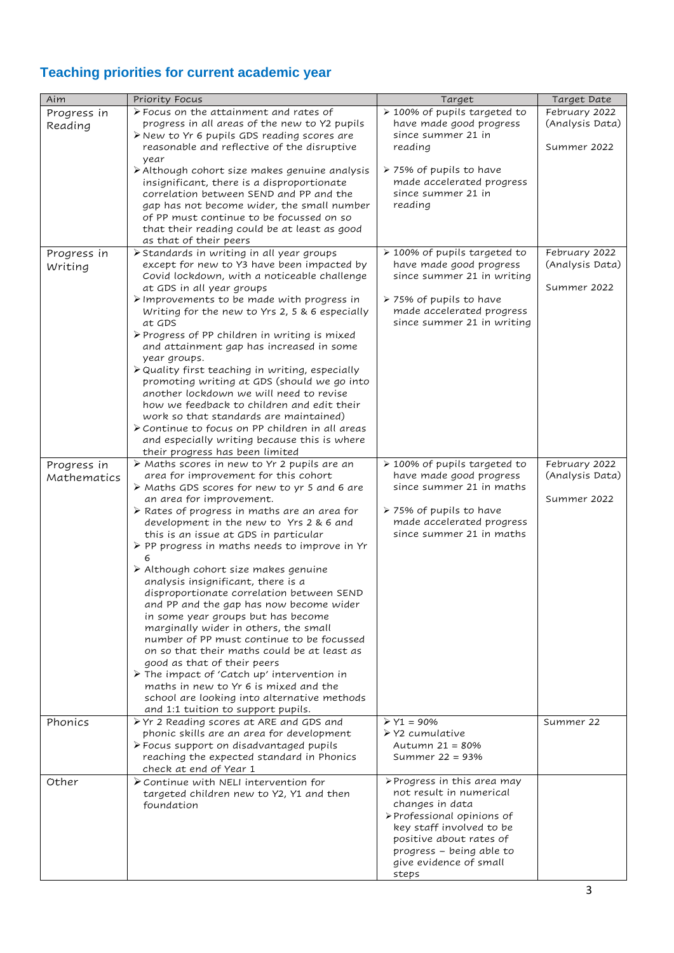# **Teaching priorities for current academic year**

| Aim                        | Priority Focus                                                                     | Target                                             | Target Date     |
|----------------------------|------------------------------------------------------------------------------------|----------------------------------------------------|-----------------|
| Progress in                | > Focus on the attainment and rates of                                             | > 100% of pupils targeted to                       | February 2022   |
| Reading                    | progress in all areas of the new to Y2 pupils                                      | have made good progress                            | (Analysis Data) |
|                            | > New to Yr 6 pupils GDS reading scores are                                        | since summer 21 in                                 |                 |
|                            | reasonable and reflective of the disruptive                                        | reading                                            | Summer 2022     |
|                            | year                                                                               |                                                    |                 |
|                            | $\triangleright$ Although cohort size makes genuine analysis                       | > 75% of pupils to have                            |                 |
|                            | insignificant, there is a disproportionate                                         | made accelerated progress                          |                 |
|                            | correlation between SEND and PP and the                                            | since summer 21 in                                 |                 |
|                            | gap has not become wider, the small number                                         | reading                                            |                 |
|                            | of PP must continue to be focussed on so                                           |                                                    |                 |
|                            | that their reading could be at least as good                                       |                                                    |                 |
|                            | as that of their peers<br>> Standards in writing in all year groups                | > 100% of pupils targeted to                       | February 2022   |
| Progress in                | except for new to Y3 have been impacted by                                         | have made good progress                            | (Analysis Data) |
| Writing                    | Covid lockdown, with a noticeable challenge                                        | since summer 21 in writing                         |                 |
|                            | at GDS in all year groups                                                          |                                                    | Summer 2022     |
|                            | > Improvements to be made with progress in                                         | ▶ 75% of pupils to have                            |                 |
|                            | Writing for the new to Yrs 2, 5 & 6 especially                                     | made accelerated progress                          |                 |
|                            | at GDS                                                                             | since summer 21 in writing                         |                 |
|                            | $\triangleright$ Progress of PP children in writing is mixed                       |                                                    |                 |
|                            | and attainment gap has increased in some                                           |                                                    |                 |
|                            | year groups.                                                                       |                                                    |                 |
|                            | > Quality first teaching in writing, especially                                    |                                                    |                 |
|                            | promoting writing at GDS (should we go into                                        |                                                    |                 |
|                            | another lockdown we will need to revise                                            |                                                    |                 |
|                            | how we feedback to children and edit their                                         |                                                    |                 |
|                            | work so that standards are maintained)                                             |                                                    |                 |
|                            | Continue to focus on PP children in all areas                                      |                                                    |                 |
|                            | and especially writing because this is where                                       |                                                    |                 |
|                            | their progress has been limited<br>> Maths scores in new to Yr 2 pupils are an     | > 100% of pupils targeted to                       | February 2022   |
| Progress in<br>Mathematics | area for improvement for this cohort                                               | have made good progress                            | (Analysis Data) |
|                            | $\triangleright$ Maths GDS scores for new to yr 5 and 6 are                        | since summer 21 in maths                           |                 |
|                            | an area for improvement.                                                           |                                                    | Summer 2022     |
|                            | $\triangleright$ Rates of progress in maths are an area for                        | ▶ 75% of pupils to have                            |                 |
|                            | development in the new to Yrs 2 & 6 and                                            | made accelerated progress                          |                 |
|                            | this is an issue at GDS in particular                                              | since summer 21 in maths                           |                 |
|                            | > PP progress in maths needs to improve in Yr                                      |                                                    |                 |
|                            |                                                                                    |                                                    |                 |
|                            | > Although cohort size makes genuine                                               |                                                    |                 |
|                            | analysis insignificant, there is a                                                 |                                                    |                 |
|                            | disproportionate correlation between SEND                                          |                                                    |                 |
|                            | and PP and the gap has now become wider                                            |                                                    |                 |
|                            | in some year groups but has become                                                 |                                                    |                 |
|                            | marginally wider in others, the small<br>number of PP must continue to be focussed |                                                    |                 |
|                            | on so that their maths could be at least as                                        |                                                    |                 |
|                            | good as that of their peers                                                        |                                                    |                 |
|                            | The impact of 'Catch up' intervention in                                           |                                                    |                 |
|                            | maths in new to Yr 6 is mixed and the                                              |                                                    |                 |
|                            | school are looking into alternative methods                                        |                                                    |                 |
|                            | and 1:1 tuition to support pupils.                                                 |                                                    |                 |
| Phonics                    | > Yr 2 Reading scores at ARE and GDS and                                           | $Y1 = 90%$                                         | Summer 22       |
|                            | phonic skills are an area for development                                          | $\triangleright$ Y2 cumulative                     |                 |
|                            | > Focus support on disadvantaged pupils                                            | Autumn 21 = 80%                                    |                 |
|                            | reaching the expected standard in Phonics                                          | Summer 22 = 93%                                    |                 |
|                            | check at end of Year 1                                                             |                                                    |                 |
| Other                      | $\triangleright$ Continue with NELI intervention for                               | $\triangleright$ Progress in this area may         |                 |
|                            | targeted children new to Y2, Y1 and then                                           | not result in numerical                            |                 |
|                            | foundation                                                                         | changes in data                                    |                 |
|                            |                                                                                    | > Professional opinions of                         |                 |
|                            |                                                                                    | key staff involved to be                           |                 |
|                            |                                                                                    | positive about rates of                            |                 |
|                            |                                                                                    | progress - being able to<br>give evidence of small |                 |
|                            |                                                                                    | steps                                              |                 |
|                            |                                                                                    |                                                    |                 |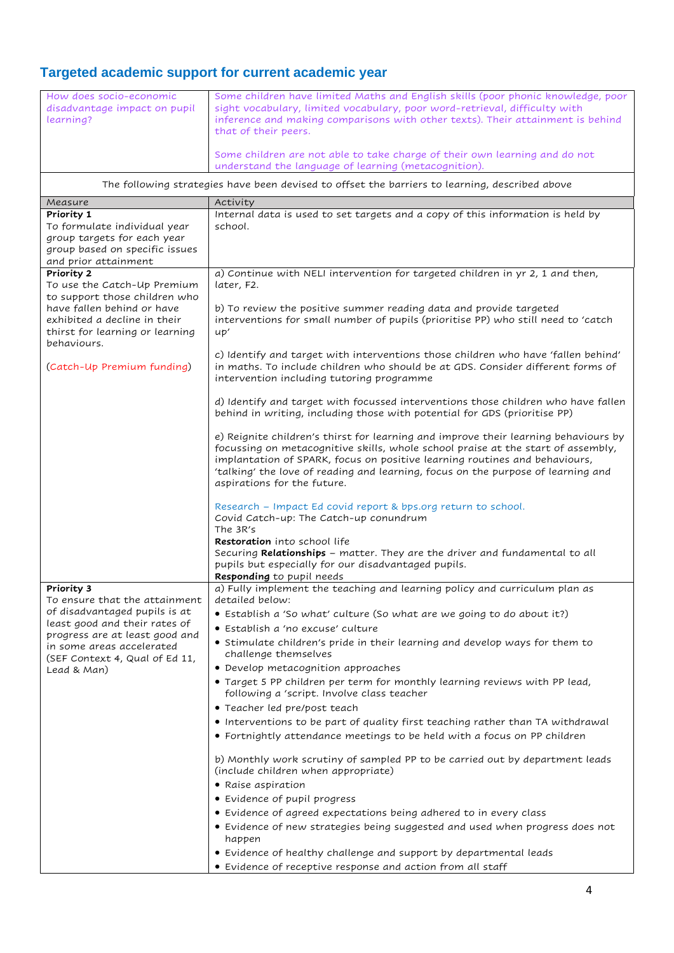## **Targeted academic support for current academic year**

| How does socio-economic<br>disadvantage impact on pupil<br>learning?                                                  | Some children have limited Maths and English skills (poor phonic knowledge, poor<br>sight vocabulary, limited vocabulary, poor word-retrieval, difficulty with<br>inference and making comparisons with other texts). Their attainment is behind<br>that of their peers.<br>Some children are not able to take charge of their own learning and do not<br>understand the language of learning (metacognition). |  |  |  |  |  |  |
|-----------------------------------------------------------------------------------------------------------------------|----------------------------------------------------------------------------------------------------------------------------------------------------------------------------------------------------------------------------------------------------------------------------------------------------------------------------------------------------------------------------------------------------------------|--|--|--|--|--|--|
| The following strategies have been devised to offset the barriers to learning, described above                        |                                                                                                                                                                                                                                                                                                                                                                                                                |  |  |  |  |  |  |
| Measure                                                                                                               | Activity                                                                                                                                                                                                                                                                                                                                                                                                       |  |  |  |  |  |  |
| Priority 1                                                                                                            | Internal data is used to set targets and a copy of this information is held by                                                                                                                                                                                                                                                                                                                                 |  |  |  |  |  |  |
| To formulate individual year<br>group targets for each year<br>group based on specific issues<br>and prior attainment | school.                                                                                                                                                                                                                                                                                                                                                                                                        |  |  |  |  |  |  |
| Priority 2<br>To use the Catch-Up Premium<br>to support those children who                                            | a) Continue with NELI intervention for targeted children in yr 2, 1 and then,<br>later, F2.                                                                                                                                                                                                                                                                                                                    |  |  |  |  |  |  |
| have fallen behind or have<br>exhibited a decline in their<br>thirst for learning or learning<br>behaviours.          | b) To review the positive summer reading data and provide targeted<br>interventions for small number of pupils (prioritise PP) who still need to 'catch<br>up'                                                                                                                                                                                                                                                 |  |  |  |  |  |  |
| (Catch-Up Premium funding)                                                                                            | c) Identify and target with interventions those children who have 'fallen behind'<br>in maths. To include children who should be at GDS. Consider different forms of<br>intervention including tutoring programme                                                                                                                                                                                              |  |  |  |  |  |  |
|                                                                                                                       | d) Identify and target with focussed interventions those children who have fallen<br>behind in writing, including those with potential for GDS (prioritise PP)                                                                                                                                                                                                                                                 |  |  |  |  |  |  |
|                                                                                                                       | e) Reignite children's thirst for learning and improve their learning behaviours by<br>focussing on metacognitive skills, whole school praise at the start of assembly,<br>implantation of SPARK, focus on positive learning routines and behaviours,<br>'talking' the love of reading and learning, focus on the purpose of learning and<br>aspirations for the future.                                       |  |  |  |  |  |  |
|                                                                                                                       | Research - Impact Ed covid report & bps.org return to school.<br>Covid Catch-up: The Catch-up conundrum<br>The 3R's                                                                                                                                                                                                                                                                                            |  |  |  |  |  |  |
|                                                                                                                       | Restoration into school life<br>Securing Relationships - matter. They are the driver and fundamental to all<br>pupils but especially for our disadvantaged pupils.<br>Responding to pupil needs                                                                                                                                                                                                                |  |  |  |  |  |  |
| Priority 3<br>To ensure that the attainment                                                                           | a) Fully implement the teaching and learning policy and curriculum plan as<br>detailed below:                                                                                                                                                                                                                                                                                                                  |  |  |  |  |  |  |
| of disadvantaged pupils is at                                                                                         | • Establish a 'So what' culture (So what are we going to do about it?)                                                                                                                                                                                                                                                                                                                                         |  |  |  |  |  |  |
| least good and their rates of<br>progress are at least good and                                                       | • Establish a 'no excuse' culture                                                                                                                                                                                                                                                                                                                                                                              |  |  |  |  |  |  |
| in some areas accelerated                                                                                             | • Stimulate children's pride in their learning and develop ways for them to<br>challenge themselves                                                                                                                                                                                                                                                                                                            |  |  |  |  |  |  |
| (SEF Context 4, Qual of Ed 11,                                                                                        | • Develop metacognition approaches                                                                                                                                                                                                                                                                                                                                                                             |  |  |  |  |  |  |
| Lead & Man)                                                                                                           | • Target 5 PP children per term for monthly learning reviews with PP lead,<br>following a 'script. Involve class teacher                                                                                                                                                                                                                                                                                       |  |  |  |  |  |  |
|                                                                                                                       | · Teacher led pre/post teach                                                                                                                                                                                                                                                                                                                                                                                   |  |  |  |  |  |  |
|                                                                                                                       | • Interventions to be part of quality first teaching rather than TA withdrawal                                                                                                                                                                                                                                                                                                                                 |  |  |  |  |  |  |
|                                                                                                                       | • Fortnightly attendance meetings to be held with a focus on PP children                                                                                                                                                                                                                                                                                                                                       |  |  |  |  |  |  |
|                                                                                                                       | b) Monthly work scrutiny of sampled PP to be carried out by department leads<br>(include children when appropriate)                                                                                                                                                                                                                                                                                            |  |  |  |  |  |  |
|                                                                                                                       | • Raise aspiration                                                                                                                                                                                                                                                                                                                                                                                             |  |  |  |  |  |  |
|                                                                                                                       | · Evidence of pupil progress                                                                                                                                                                                                                                                                                                                                                                                   |  |  |  |  |  |  |
|                                                                                                                       | • Evidence of agreed expectations being adhered to in every class<br>• Evidence of new strategies being suggested and used when progress does not                                                                                                                                                                                                                                                              |  |  |  |  |  |  |
|                                                                                                                       | happen                                                                                                                                                                                                                                                                                                                                                                                                         |  |  |  |  |  |  |
|                                                                                                                       | • Evidence of healthy challenge and support by departmental leads<br>• Evidence of receptive response and action from all staff                                                                                                                                                                                                                                                                                |  |  |  |  |  |  |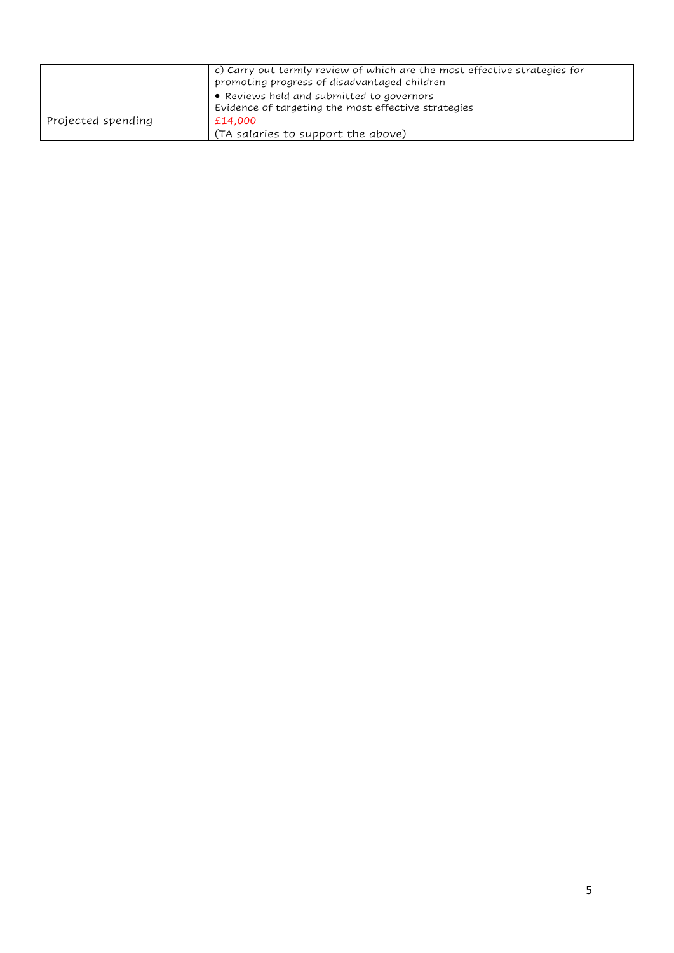|                    | c) Carry out termly review of which are the most effective strategies for<br>promoting progress of disadvantaged children<br>• Reviews held and submitted to governors |
|--------------------|------------------------------------------------------------------------------------------------------------------------------------------------------------------------|
|                    | Evidence of targeting the most effective strategies                                                                                                                    |
| Projected spending | £14,000                                                                                                                                                                |
|                    | (TA salaries to support the above)                                                                                                                                     |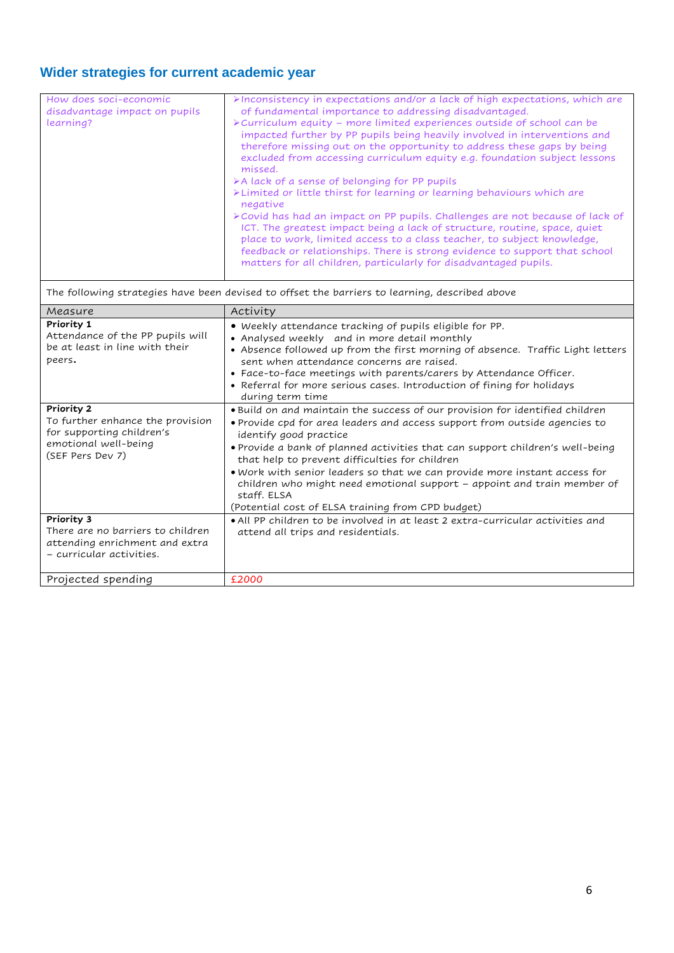## **Wider strategies for current academic year**

| How does soci-economic<br>disadvantage impact on pupils<br>learning?                                                    | >Inconsistency in expectations and/or a lack of high expectations, which are<br>of fundamental importance to addressing disadvantaged.<br>> Curriculum equity - more limited experiences outside of school can be<br>impacted further by PP pupils being heavily involved in interventions and<br>therefore missing out on the opportunity to address these gaps by being<br>excluded from accessing curriculum equity e.g. foundation subject lessons<br>missed.<br>>A lack of a sense of belonging for PP pupils<br>>Limited or little thirst for learning or learning behaviours which are<br>negative<br>> Covid has had an impact on PP pupils. Challenges are not because of lack of<br>ICT. The greatest impact being a lack of structure, routine, space, quiet<br>place to work, limited access to a class teacher, to subject knowledge,<br>feedback or relationships. There is strong evidence to support that school<br>matters for all children, particularly for disadvantaged pupils. |  |
|-------------------------------------------------------------------------------------------------------------------------|------------------------------------------------------------------------------------------------------------------------------------------------------------------------------------------------------------------------------------------------------------------------------------------------------------------------------------------------------------------------------------------------------------------------------------------------------------------------------------------------------------------------------------------------------------------------------------------------------------------------------------------------------------------------------------------------------------------------------------------------------------------------------------------------------------------------------------------------------------------------------------------------------------------------------------------------------------------------------------------------------|--|
|                                                                                                                         | The following strategies have been devised to offset the barriers to learning, described above                                                                                                                                                                                                                                                                                                                                                                                                                                                                                                                                                                                                                                                                                                                                                                                                                                                                                                       |  |
| Measure                                                                                                                 | Activity                                                                                                                                                                                                                                                                                                                                                                                                                                                                                                                                                                                                                                                                                                                                                                                                                                                                                                                                                                                             |  |
| Priority 1<br>Attendance of the PP pupils will<br>be at least in line with their<br>peers.                              | • Weekly attendance tracking of pupils eligible for PP.<br>• Analysed weekly and in more detail monthly<br>• Absence followed up from the first morning of absence. Traffic Light letters<br>sent when attendance concerns are raised.<br>• Face-to-face meetings with parents/carers by Attendance Officer.<br>• Referral for more serious cases. Introduction of fining for holidays<br>during term time                                                                                                                                                                                                                                                                                                                                                                                                                                                                                                                                                                                           |  |
| Priority 2<br>To further enhance the provision<br>for supporting children's<br>emotional well-being<br>(SEF Pers Dev 7) | . Build on and maintain the success of our provision for identified children<br>· Provide cpd for area leaders and access support from outside agencies to<br>identify good practice<br>. Provide a bank of planned activities that can support children's well-being<br>that help to prevent difficulties for children<br>. Work with senior leaders so that we can provide more instant access for<br>children who might need emotional support - appoint and train member of<br>staff. ELSA<br>(Potential cost of ELSA training from CPD budget)                                                                                                                                                                                                                                                                                                                                                                                                                                                  |  |
| Priority 3<br>There are no barriers to children<br>attending enrichment and extra<br>- curricular activities.           | . All PP children to be involved in at least 2 extra-curricular activities and<br>attend all trips and residentials.                                                                                                                                                                                                                                                                                                                                                                                                                                                                                                                                                                                                                                                                                                                                                                                                                                                                                 |  |
| Projected spending                                                                                                      | £2000                                                                                                                                                                                                                                                                                                                                                                                                                                                                                                                                                                                                                                                                                                                                                                                                                                                                                                                                                                                                |  |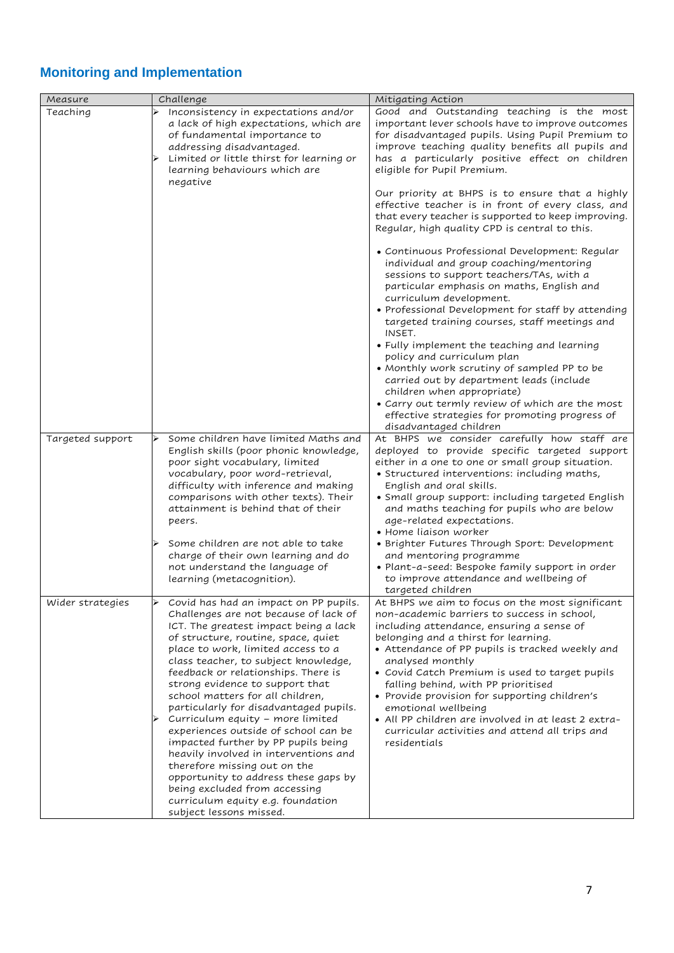## **Monitoring and Implementation**

| Measure          | Challenge                                                                                                                                                                                                                                                                                                                                                                                            | Mitigating Action                                                                                                                                                                                                                                                                                                                                                                                                                       |  |  |  |
|------------------|------------------------------------------------------------------------------------------------------------------------------------------------------------------------------------------------------------------------------------------------------------------------------------------------------------------------------------------------------------------------------------------------------|-----------------------------------------------------------------------------------------------------------------------------------------------------------------------------------------------------------------------------------------------------------------------------------------------------------------------------------------------------------------------------------------------------------------------------------------|--|--|--|
| Teaching         | Inconsistency in expectations and/or<br>a lack of high expectations, which are<br>of fundamental importance to<br>addressing disadvantaged.<br>Limited or little thirst for learning or<br>learning behaviours which are<br>negative                                                                                                                                                                 | Good and Outstanding teaching is the most<br>important lever schools have to improve outcomes<br>for disadvantaged pupils. Using Pupil Premium to<br>improve teaching quality benefits all pupils and<br>has a particularly positive effect on children<br>eligible for Pupil Premium.                                                                                                                                                  |  |  |  |
|                  |                                                                                                                                                                                                                                                                                                                                                                                                      | Our priority at BHPS is to ensure that a highly<br>effective teacher is in front of every class, and<br>that every teacher is supported to keep improving.<br>Regular, high quality CPD is central to this.                                                                                                                                                                                                                             |  |  |  |
|                  |                                                                                                                                                                                                                                                                                                                                                                                                      | • Continuous Professional Development: Regular<br>individual and group coaching/mentoring<br>sessions to support teachers/TAs, with a<br>particular emphasis on maths, English and<br>curriculum development.<br>• Professional Development for staff by attending<br>targeted training courses, staff meetings and<br>INSET.                                                                                                           |  |  |  |
|                  |                                                                                                                                                                                                                                                                                                                                                                                                      | • Fully implement the teaching and learning<br>policy and curriculum plan<br>• Monthly work scrutiny of sampled PP to be<br>carried out by department leads (include<br>children when appropriate)<br>• Carry out termly review of which are the most                                                                                                                                                                                   |  |  |  |
|                  |                                                                                                                                                                                                                                                                                                                                                                                                      | effective strategies for promoting progress of<br>disadvantaged children                                                                                                                                                                                                                                                                                                                                                                |  |  |  |
| Targeted support | Some children have limited Maths and<br>English skills (poor phonic knowledge,<br>poor sight vocabulary, limited<br>vocabulary, poor word-retrieval,<br>difficulty with inference and making<br>comparisons with other texts). Their<br>attainment is behind that of their<br>peers.<br>Some children are not able to take                                                                           | At BHPS we consider carefully how staff are<br>deployed to provide specific targeted support<br>either in a one to one or small group situation.<br>• Structured interventions: including maths,<br>English and oral skills.<br>• Small group support: including targeted English<br>and maths teaching for pupils who are below<br>age-related expectations.<br>• Home liaison worker<br>• Brighter Futures Through Sport: Development |  |  |  |
|                  | charge of their own learning and do<br>not understand the language of<br>learning (metacognition).                                                                                                                                                                                                                                                                                                   | and mentoring programme<br>• Plant-a-seed: Bespoke family support in order<br>to improve attendance and wellbeing of<br>targeted children                                                                                                                                                                                                                                                                                               |  |  |  |
| Wider strategies | Covid has had an impact on PP pupils.<br>Challenges are not because of lack of<br>ICT. The greatest impact being a lack<br>of structure, routine, space, quiet<br>place to work, limited access to a<br>class teacher, to subject knowledge,<br>feedback or relationships. There is<br>strong evidence to support that<br>school matters for all children,<br>particularly for disadvantaged pupils. | At BHPS we aim to focus on the most significant<br>non-academic barriers to success in school,<br>including attendance, ensuring a sense of<br>belonging and a thirst for learning.<br>• Attendance of PP pupils is tracked weekly and<br>analysed monthly<br>• Covid Catch Premium is used to target pupils<br>falling behind, with PP prioritised<br>• Provide provision for supporting children's<br>emotional wellbeing             |  |  |  |
|                  | Curriculum equity - more limited<br>experiences outside of school can be<br>impacted further by PP pupils being<br>heavily involved in interventions and<br>therefore missing out on the<br>opportunity to address these gaps by<br>being excluded from accessing<br>curriculum equity e.g. foundation<br>subject lessons missed.                                                                    | • All PP children are involved in at least 2 extra-<br>curricular activities and attend all trips and<br>residentials                                                                                                                                                                                                                                                                                                                   |  |  |  |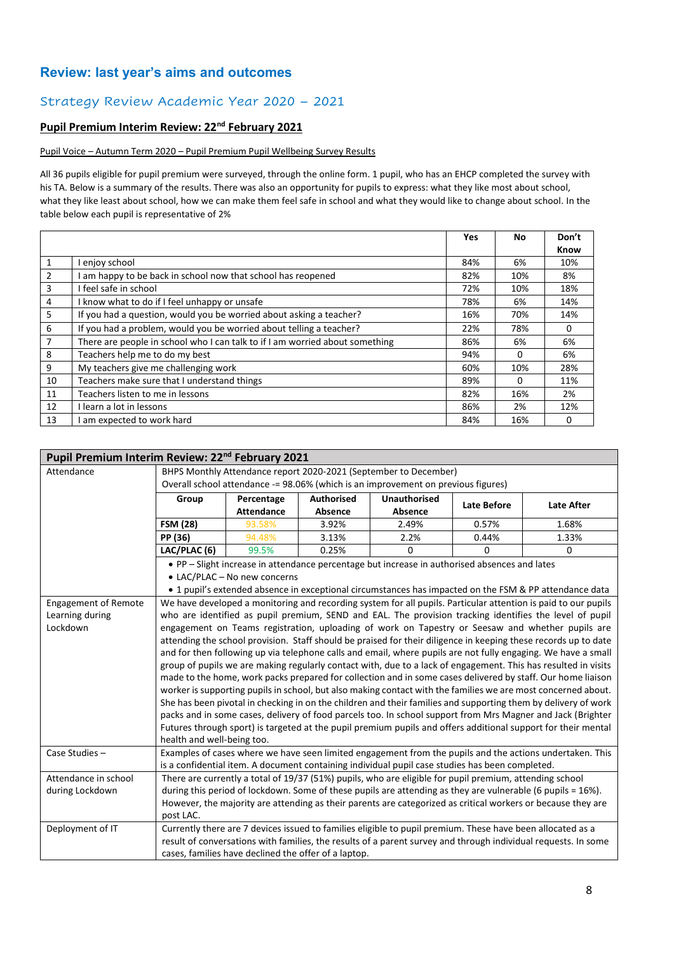## **Review: last year's aims and outcomes**

## Strategy Review Academic Year 2020 – 2021

#### **Pupil Premium Interim Review: 22nd February 2021**

#### Pupil Voice – Autumn Term 2020 – Pupil Premium Pupil Wellbeing Survey Results

All 36 pupils eligible for pupil premium were surveyed, through the online form. 1 pupil, who has an EHCP completed the survey with his TA. Below is a summary of the results. There was also an opportunity for pupils to express: what they like most about school, what they like least about school, how we can make them feel safe in school and what they would like to change about school. In the table below each pupil is representative of 2%

|    |                                                                              | Yes | No  | Don't |
|----|------------------------------------------------------------------------------|-----|-----|-------|
|    |                                                                              |     |     | Know  |
| 1  | enjov school                                                                 | 84% | 6%  | 10%   |
| 2  | am happy to be back in school now that school has reopened                   | 82% | 10% | 8%    |
| 3  | I feel safe in school                                                        | 72% | 10% | 18%   |
| 4  | I know what to do if I feel unhappy or unsafe                                | 78% | 6%  | 14%   |
| 5  | If you had a question, would you be worried about asking a teacher?          | 16% | 70% | 14%   |
| 6  | If you had a problem, would you be worried about telling a teacher?          | 22% | 78% | 0     |
| 7  | There are people in school who I can talk to if I am worried about something | 86% | 6%  | 6%    |
| 8  | Teachers help me to do my best                                               | 94% | 0   | 6%    |
| 9  | My teachers give me challenging work                                         | 60% | 10% | 28%   |
| 10 | Teachers make sure that I understand things                                  | 89% | 0   | 11%   |
| 11 | Teachers listen to me in lessons                                             | 82% | 16% | 2%    |
| 12 | I learn a lot in lessons                                                     | 86% | 2%  | 12%   |
| 13 | am expected to work hard                                                     | 84% | 16% | 0     |

| Pupil Premium Interim Review: 22 <sup>nd</sup> February 2021 |                                                                                                                           |                              |                                                      |                                                                                                             |       |                                                                                                                 |  |
|--------------------------------------------------------------|---------------------------------------------------------------------------------------------------------------------------|------------------------------|------------------------------------------------------|-------------------------------------------------------------------------------------------------------------|-------|-----------------------------------------------------------------------------------------------------------------|--|
| Attendance                                                   | BHPS Monthly Attendance report 2020-2021 (September to December)                                                          |                              |                                                      |                                                                                                             |       |                                                                                                                 |  |
|                                                              | Overall school attendance -= 98.06% (which is an improvement on previous figures)                                         |                              |                                                      |                                                                                                             |       |                                                                                                                 |  |
|                                                              | <b>Unauthorised</b><br><b>Authorised</b><br>Group<br>Percentage<br><b>Late After</b><br><b>Late Before</b>                |                              |                                                      |                                                                                                             |       |                                                                                                                 |  |
|                                                              |                                                                                                                           | <b>Attendance</b>            | Absence                                              | Absence                                                                                                     |       |                                                                                                                 |  |
|                                                              | <b>FSM (28)</b>                                                                                                           | 93.58%                       | 3.92%                                                | 2.49%                                                                                                       | 0.57% | 1.68%                                                                                                           |  |
|                                                              | PP (36)                                                                                                                   | 94.48%                       | 3.13%                                                | 2.2%                                                                                                        | 0.44% | 1.33%                                                                                                           |  |
|                                                              | LAC/PLAC (6)                                                                                                              | 99.5%                        | 0.25%                                                | 0                                                                                                           | 0     | 0                                                                                                               |  |
|                                                              |                                                                                                                           |                              |                                                      | • PP - Slight increase in attendance percentage but increase in authorised absences and lates               |       |                                                                                                                 |  |
|                                                              |                                                                                                                           | • LAC/PLAC - No new concerns |                                                      |                                                                                                             |       |                                                                                                                 |  |
|                                                              |                                                                                                                           |                              |                                                      |                                                                                                             |       | • 1 pupil's extended absence in exceptional circumstances has impacted on the FSM & PP attendance data          |  |
| <b>Engagement of Remote</b>                                  |                                                                                                                           |                              |                                                      |                                                                                                             |       | We have developed a monitoring and recording system for all pupils. Particular attention is paid to our pupils  |  |
| Learning during                                              |                                                                                                                           |                              |                                                      |                                                                                                             |       | who are identified as pupil premium, SEND and EAL. The provision tracking identifies the level of pupil         |  |
| Lockdown                                                     |                                                                                                                           |                              |                                                      |                                                                                                             |       | engagement on Teams registration, uploading of work on Tapestry or Seesaw and whether pupils are                |  |
|                                                              |                                                                                                                           |                              |                                                      |                                                                                                             |       | attending the school provision. Staff should be praised for their diligence in keeping these records up to date |  |
|                                                              |                                                                                                                           |                              |                                                      |                                                                                                             |       | and for then following up via telephone calls and email, where pupils are not fully engaging. We have a small   |  |
|                                                              |                                                                                                                           |                              |                                                      |                                                                                                             |       | group of pupils we are making regularly contact with, due to a lack of engagement. This has resulted in visits  |  |
|                                                              | made to the home, work packs prepared for collection and in some cases delivered by staff. Our home liaison               |                              |                                                      |                                                                                                             |       |                                                                                                                 |  |
|                                                              |                                                                                                                           |                              |                                                      |                                                                                                             |       | worker is supporting pupils in school, but also making contact with the families we are most concerned about.   |  |
|                                                              |                                                                                                                           |                              |                                                      |                                                                                                             |       | She has been pivotal in checking in on the children and their families and supporting them by delivery of work  |  |
|                                                              |                                                                                                                           |                              |                                                      |                                                                                                             |       | packs and in some cases, delivery of food parcels too. In school support from Mrs Magner and Jack (Brighter     |  |
|                                                              | health and well-being too.                                                                                                |                              |                                                      |                                                                                                             |       | Futures through sport) is targeted at the pupil premium pupils and offers additional support for their mental   |  |
| Case Studies-                                                |                                                                                                                           |                              |                                                      |                                                                                                             |       | Examples of cases where we have seen limited engagement from the pupils and the actions undertaken. This        |  |
|                                                              |                                                                                                                           |                              |                                                      | is a confidential item. A document containing individual pupil case studies has been completed.             |       |                                                                                                                 |  |
| Attendance in school                                         |                                                                                                                           |                              |                                                      | There are currently a total of 19/37 (51%) pupils, who are eligible for pupil premium, attending school     |       |                                                                                                                 |  |
| during Lockdown                                              |                                                                                                                           |                              |                                                      | during this period of lockdown. Some of these pupils are attending as they are vulnerable (6 pupils = 16%). |       |                                                                                                                 |  |
|                                                              |                                                                                                                           |                              |                                                      |                                                                                                             |       |                                                                                                                 |  |
|                                                              | However, the majority are attending as their parents are categorized as critical workers or because they are<br>post LAC. |                              |                                                      |                                                                                                             |       |                                                                                                                 |  |
| Deployment of IT                                             |                                                                                                                           |                              |                                                      | Currently there are 7 devices issued to families eligible to pupil premium. These have been allocated as a  |       |                                                                                                                 |  |
|                                                              |                                                                                                                           |                              |                                                      |                                                                                                             |       | result of conversations with families, the results of a parent survey and through individual requests. In some  |  |
|                                                              |                                                                                                                           |                              | cases, families have declined the offer of a laptop. |                                                                                                             |       |                                                                                                                 |  |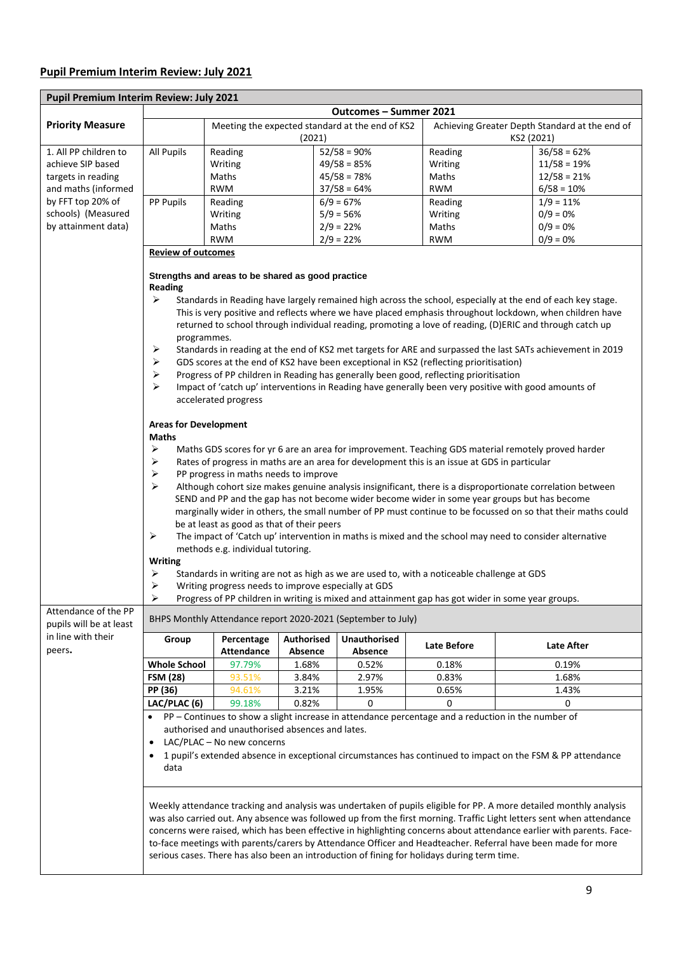## **Pupil Premium Interim Review: July 2021**

| Pupil Premium Interim Review: July 2021                                                                            |                                                                                                                                                                                                                                                                                                                                                                                                                                                             |                                                                                                    |                       |                                |                                                                                              |                                                                                                            |  |  |  |  |
|--------------------------------------------------------------------------------------------------------------------|-------------------------------------------------------------------------------------------------------------------------------------------------------------------------------------------------------------------------------------------------------------------------------------------------------------------------------------------------------------------------------------------------------------------------------------------------------------|----------------------------------------------------------------------------------------------------|-----------------------|--------------------------------|----------------------------------------------------------------------------------------------|------------------------------------------------------------------------------------------------------------|--|--|--|--|
|                                                                                                                    | Outcomes - Summer 2021                                                                                                                                                                                                                                                                                                                                                                                                                                      |                                                                                                    |                       |                                |                                                                                              |                                                                                                            |  |  |  |  |
| <b>Priority Measure</b>                                                                                            |                                                                                                                                                                                                                                                                                                                                                                                                                                                             | Meeting the expected standard at the end of KS2<br>(2021)                                          |                       |                                |                                                                                              | Achieving Greater Depth Standard at the end of<br>KS2 (2021)                                               |  |  |  |  |
| 1. All PP children to                                                                                              | <b>All Pupils</b>                                                                                                                                                                                                                                                                                                                                                                                                                                           | Reading                                                                                            |                       | $52/58 = 90%$                  | Reading                                                                                      | $36/58 = 62%$                                                                                              |  |  |  |  |
| achieve SIP based                                                                                                  |                                                                                                                                                                                                                                                                                                                                                                                                                                                             | Writing                                                                                            |                       | $49/58 = 85%$                  | Writing                                                                                      | $11/58 = 19%$                                                                                              |  |  |  |  |
| targets in reading                                                                                                 |                                                                                                                                                                                                                                                                                                                                                                                                                                                             | Maths                                                                                              |                       | $45/58 = 78%$                  | Maths                                                                                        | $12/58 = 21%$                                                                                              |  |  |  |  |
| and maths (informed                                                                                                |                                                                                                                                                                                                                                                                                                                                                                                                                                                             | <b>RWM</b>                                                                                         |                       | $37/58 = 64%$                  | <b>RWM</b>                                                                                   | $6/58 = 10%$                                                                                               |  |  |  |  |
| by FFT top 20% of                                                                                                  | PP Pupils                                                                                                                                                                                                                                                                                                                                                                                                                                                   | Reading                                                                                            |                       | $6/9 = 67%$                    | Reading                                                                                      | $1/9 = 11%$                                                                                                |  |  |  |  |
| schools) (Measured                                                                                                 |                                                                                                                                                                                                                                                                                                                                                                                                                                                             | Writing                                                                                            |                       | $5/9 = 56%$                    | Writing                                                                                      | $0/9 = 0%$                                                                                                 |  |  |  |  |
| by attainment data)                                                                                                |                                                                                                                                                                                                                                                                                                                                                                                                                                                             | Maths                                                                                              |                       | $2/9 = 22%$                    | Maths                                                                                        | $0/9 = 0%$                                                                                                 |  |  |  |  |
|                                                                                                                    |                                                                                                                                                                                                                                                                                                                                                                                                                                                             | <b>RWM</b>                                                                                         |                       | $2/9 = 22%$                    | <b>RWM</b>                                                                                   | $0/9 = 0%$                                                                                                 |  |  |  |  |
|                                                                                                                    | <b>Review of outcomes</b>                                                                                                                                                                                                                                                                                                                                                                                                                                   |                                                                                                    |                       |                                |                                                                                              |                                                                                                            |  |  |  |  |
|                                                                                                                    | Strengths and areas to be shared as good practice<br><b>Reading</b><br>➤<br>Standards in Reading have largely remained high across the school, especially at the end of each key stage.                                                                                                                                                                                                                                                                     |                                                                                                    |                       |                                |                                                                                              |                                                                                                            |  |  |  |  |
|                                                                                                                    | This is very positive and reflects where we have placed emphasis throughout lockdown, when children have<br>returned to school through individual reading, promoting a love of reading, (D)ERIC and through catch up                                                                                                                                                                                                                                        |                                                                                                    |                       |                                |                                                                                              |                                                                                                            |  |  |  |  |
|                                                                                                                    | programmes.<br>➤<br>Standards in reading at the end of KS2 met targets for ARE and surpassed the last SATs achievement in 2019                                                                                                                                                                                                                                                                                                                              |                                                                                                    |                       |                                |                                                                                              |                                                                                                            |  |  |  |  |
|                                                                                                                    | GDS scores at the end of KS2 have been exceptional in KS2 (reflecting prioritisation)<br>➤<br>Progress of PP children in Reading has generally been good, reflecting prioritisation<br>➤                                                                                                                                                                                                                                                                    |                                                                                                    |                       |                                |                                                                                              |                                                                                                            |  |  |  |  |
|                                                                                                                    |                                                                                                                                                                                                                                                                                                                                                                                                                                                             |                                                                                                    |                       |                                |                                                                                              |                                                                                                            |  |  |  |  |
|                                                                                                                    | ➤<br>Impact of 'catch up' interventions in Reading have generally been very positive with good amounts of                                                                                                                                                                                                                                                                                                                                                   |                                                                                                    |                       |                                |                                                                                              |                                                                                                            |  |  |  |  |
|                                                                                                                    | accelerated progress                                                                                                                                                                                                                                                                                                                                                                                                                                        |                                                                                                    |                       |                                |                                                                                              |                                                                                                            |  |  |  |  |
|                                                                                                                    | <b>Areas for Development</b><br><b>Maths</b>                                                                                                                                                                                                                                                                                                                                                                                                                |                                                                                                    |                       |                                |                                                                                              |                                                                                                            |  |  |  |  |
|                                                                                                                    | ➤                                                                                                                                                                                                                                                                                                                                                                                                                                                           |                                                                                                    |                       |                                |                                                                                              | Maths GDS scores for yr 6 are an area for improvement. Teaching GDS material remotely proved harder        |  |  |  |  |
|                                                                                                                    | ➤                                                                                                                                                                                                                                                                                                                                                                                                                                                           |                                                                                                    |                       |                                | Rates of progress in maths are an area for development this is an issue at GDS in particular |                                                                                                            |  |  |  |  |
|                                                                                                                    | $\blacktriangleright$                                                                                                                                                                                                                                                                                                                                                                                                                                       | PP progress in maths needs to improve                                                              |                       |                                |                                                                                              |                                                                                                            |  |  |  |  |
|                                                                                                                    | ⋗                                                                                                                                                                                                                                                                                                                                                                                                                                                           |                                                                                                    |                       |                                |                                                                                              | Although cohort size makes genuine analysis insignificant, there is a disproportionate correlation between |  |  |  |  |
|                                                                                                                    |                                                                                                                                                                                                                                                                                                                                                                                                                                                             |                                                                                                    |                       |                                |                                                                                              | SEND and PP and the gap has not become wider become wider in some year groups but has become               |  |  |  |  |
|                                                                                                                    | marginally wider in others, the small number of PP must continue to be focussed on so that their maths could<br>be at least as good as that of their peers<br>$\blacktriangleright$<br>The impact of 'Catch up' intervention in maths is mixed and the school may need to consider alternative                                                                                                                                                              |                                                                                                    |                       |                                |                                                                                              |                                                                                                            |  |  |  |  |
|                                                                                                                    |                                                                                                                                                                                                                                                                                                                                                                                                                                                             |                                                                                                    |                       |                                |                                                                                              |                                                                                                            |  |  |  |  |
|                                                                                                                    |                                                                                                                                                                                                                                                                                                                                                                                                                                                             |                                                                                                    |                       |                                |                                                                                              |                                                                                                            |  |  |  |  |
|                                                                                                                    |                                                                                                                                                                                                                                                                                                                                                                                                                                                             | methods e.g. individual tutoring.                                                                  |                       |                                |                                                                                              |                                                                                                            |  |  |  |  |
|                                                                                                                    | <b>Writing</b>                                                                                                                                                                                                                                                                                                                                                                                                                                              |                                                                                                    |                       |                                |                                                                                              |                                                                                                            |  |  |  |  |
|                                                                                                                    | $\blacktriangleright$                                                                                                                                                                                                                                                                                                                                                                                                                                       |                                                                                                    |                       |                                | Standards in writing are not as high as we are used to, with a noticeable challenge at GDS   |                                                                                                            |  |  |  |  |
|                                                                                                                    | ➤                                                                                                                                                                                                                                                                                                                                                                                                                                                           | Writing progress needs to improve especially at GDS                                                |                       |                                |                                                                                              |                                                                                                            |  |  |  |  |
|                                                                                                                    | ⋗                                                                                                                                                                                                                                                                                                                                                                                                                                                           |                                                                                                    |                       |                                |                                                                                              | Progress of PP children in writing is mixed and attainment gap has got wider in some year groups.          |  |  |  |  |
| Attendance of the PP<br>pupils will be at least                                                                    | BHPS Monthly Attendance report 2020-2021 (September to July)                                                                                                                                                                                                                                                                                                                                                                                                |                                                                                                    |                       |                                |                                                                                              |                                                                                                            |  |  |  |  |
| in line with their<br>peers.                                                                                       | Group                                                                                                                                                                                                                                                                                                                                                                                                                                                       | Percentage<br><b>Attendance</b>                                                                    | Authorised<br>Absence | <b>Unauthorised</b><br>Absence | Late Before                                                                                  | <b>Late After</b>                                                                                          |  |  |  |  |
|                                                                                                                    | <b>Whole School</b>                                                                                                                                                                                                                                                                                                                                                                                                                                         | 97.79%                                                                                             | 1.68%                 | 0.52%                          | 0.18%                                                                                        | 0.19%                                                                                                      |  |  |  |  |
|                                                                                                                    | <b>FSM (28)</b>                                                                                                                                                                                                                                                                                                                                                                                                                                             | 93.51%                                                                                             | 3.84%                 | 2.97%                          | 0.83%                                                                                        | 1.68%                                                                                                      |  |  |  |  |
|                                                                                                                    | PP (36)                                                                                                                                                                                                                                                                                                                                                                                                                                                     | 94.61%                                                                                             | 3.21%                 | 1.95%                          | 0.65%                                                                                        | 1.43%                                                                                                      |  |  |  |  |
|                                                                                                                    | LAC/PLAC (6)                                                                                                                                                                                                                                                                                                                                                                                                                                                | 99.18%                                                                                             | 0.82%                 | 0                              | 0                                                                                            | 0                                                                                                          |  |  |  |  |
|                                                                                                                    |                                                                                                                                                                                                                                                                                                                                                                                                                                                             | PP - Continues to show a slight increase in attendance percentage and a reduction in the number of |                       |                                |                                                                                              |                                                                                                            |  |  |  |  |
|                                                                                                                    |                                                                                                                                                                                                                                                                                                                                                                                                                                                             | authorised and unauthorised absences and lates.                                                    |                       |                                |                                                                                              |                                                                                                            |  |  |  |  |
|                                                                                                                    | $\bullet$                                                                                                                                                                                                                                                                                                                                                                                                                                                   | LAC/PLAC - No new concerns                                                                         |                       |                                |                                                                                              |                                                                                                            |  |  |  |  |
|                                                                                                                    |                                                                                                                                                                                                                                                                                                                                                                                                                                                             |                                                                                                    |                       |                                |                                                                                              |                                                                                                            |  |  |  |  |
|                                                                                                                    | 1 pupil's extended absence in exceptional circumstances has continued to impact on the FSM & PP attendance<br>data                                                                                                                                                                                                                                                                                                                                          |                                                                                                    |                       |                                |                                                                                              |                                                                                                            |  |  |  |  |
|                                                                                                                    |                                                                                                                                                                                                                                                                                                                                                                                                                                                             |                                                                                                    |                       |                                |                                                                                              |                                                                                                            |  |  |  |  |
| Weekly attendance tracking and analysis was undertaken of pupils eligible for PP. A more detailed monthly analysis |                                                                                                                                                                                                                                                                                                                                                                                                                                                             |                                                                                                    |                       |                                |                                                                                              |                                                                                                            |  |  |  |  |
|                                                                                                                    | was also carried out. Any absence was followed up from the first morning. Traffic Light letters sent when attendance<br>concerns were raised, which has been effective in highlighting concerns about attendance earlier with parents. Face-<br>to-face meetings with parents/carers by Attendance Officer and Headteacher. Referral have been made for more<br>serious cases. There has also been an introduction of fining for holidays during term time. |                                                                                                    |                       |                                |                                                                                              |                                                                                                            |  |  |  |  |
|                                                                                                                    |                                                                                                                                                                                                                                                                                                                                                                                                                                                             |                                                                                                    |                       |                                |                                                                                              |                                                                                                            |  |  |  |  |
|                                                                                                                    |                                                                                                                                                                                                                                                                                                                                                                                                                                                             |                                                                                                    |                       |                                |                                                                                              |                                                                                                            |  |  |  |  |
|                                                                                                                    |                                                                                                                                                                                                                                                                                                                                                                                                                                                             |                                                                                                    |                       |                                |                                                                                              |                                                                                                            |  |  |  |  |
|                                                                                                                    |                                                                                                                                                                                                                                                                                                                                                                                                                                                             |                                                                                                    |                       |                                |                                                                                              |                                                                                                            |  |  |  |  |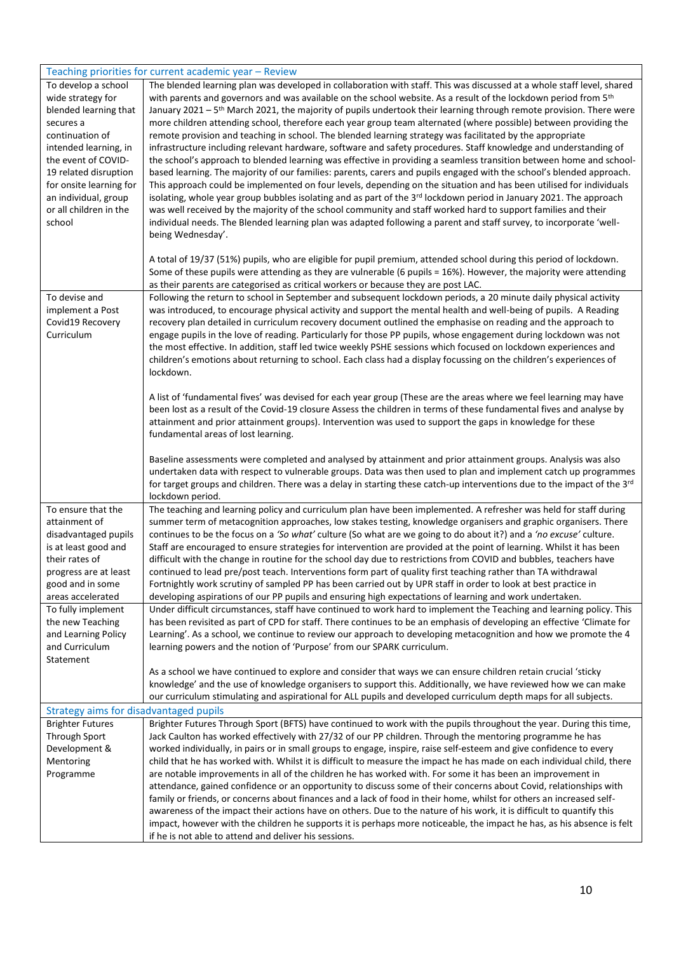| To develop a school<br>wide strategy for<br>blended learning that<br>secures a<br>continuation of<br>intended learning, in<br>the event of COVID-<br>19 related disruption<br>for onsite learning for<br>an individual, group<br>or all children in the<br>school | Teaching priorities for current academic year – Review<br>The blended learning plan was developed in collaboration with staff. This was discussed at a whole staff level, shared<br>with parents and governors and was available on the school website. As a result of the lockdown period from 5 <sup>th</sup><br>January 2021 - 5 <sup>th</sup> March 2021, the majority of pupils undertook their learning through remote provision. There were<br>more children attending school, therefore each year group team alternated (where possible) between providing the<br>remote provision and teaching in school. The blended learning strategy was facilitated by the appropriate<br>infrastructure including relevant hardware, software and safety procedures. Staff knowledge and understanding of<br>the school's approach to blended learning was effective in providing a seamless transition between home and school-<br>based learning. The majority of our families: parents, carers and pupils engaged with the school's blended approach.<br>This approach could be implemented on four levels, depending on the situation and has been utilised for individuals<br>isolating, whole year group bubbles isolating and as part of the 3rd lockdown period in January 2021. The approach<br>was well received by the majority of the school community and staff worked hard to support families and their<br>individual needs. The Blended learning plan was adapted following a parent and staff survey, to incorporate 'well-<br>being Wednesday'. |
|-------------------------------------------------------------------------------------------------------------------------------------------------------------------------------------------------------------------------------------------------------------------|-----------------------------------------------------------------------------------------------------------------------------------------------------------------------------------------------------------------------------------------------------------------------------------------------------------------------------------------------------------------------------------------------------------------------------------------------------------------------------------------------------------------------------------------------------------------------------------------------------------------------------------------------------------------------------------------------------------------------------------------------------------------------------------------------------------------------------------------------------------------------------------------------------------------------------------------------------------------------------------------------------------------------------------------------------------------------------------------------------------------------------------------------------------------------------------------------------------------------------------------------------------------------------------------------------------------------------------------------------------------------------------------------------------------------------------------------------------------------------------------------------------------------------------------------------------------|
|                                                                                                                                                                                                                                                                   | A total of 19/37 (51%) pupils, who are eligible for pupil premium, attended school during this period of lockdown.<br>Some of these pupils were attending as they are vulnerable (6 pupils = 16%). However, the majority were attending                                                                                                                                                                                                                                                                                                                                                                                                                                                                                                                                                                                                                                                                                                                                                                                                                                                                                                                                                                                                                                                                                                                                                                                                                                                                                                                         |
| To devise and<br>implement a Post<br>Covid19 Recovery<br>Curriculum                                                                                                                                                                                               | as their parents are categorised as critical workers or because they are post LAC.<br>Following the return to school in September and subsequent lockdown periods, a 20 minute daily physical activity<br>was introduced, to encourage physical activity and support the mental health and well-being of pupils. A Reading<br>recovery plan detailed in curriculum recovery document outlined the emphasise on reading and the approach to<br>engage pupils in the love of reading. Particularly for those PP pupils, whose engagement during lockdown was not<br>the most effective. In addition, staff led twice weekly PSHE sessions which focused on lockdown experiences and<br>children's emotions about returning to school. Each class had a display focussing on the children's experiences of<br>lockdown.                                                                                                                                                                                                                                                                                                                                                                                                                                                                                                                                                                                                                                                                                                                                            |
|                                                                                                                                                                                                                                                                   | A list of 'fundamental fives' was devised for each year group (These are the areas where we feel learning may have<br>been lost as a result of the Covid-19 closure Assess the children in terms of these fundamental fives and analyse by<br>attainment and prior attainment groups). Intervention was used to support the gaps in knowledge for these<br>fundamental areas of lost learning.                                                                                                                                                                                                                                                                                                                                                                                                                                                                                                                                                                                                                                                                                                                                                                                                                                                                                                                                                                                                                                                                                                                                                                  |
|                                                                                                                                                                                                                                                                   | Baseline assessments were completed and analysed by attainment and prior attainment groups. Analysis was also<br>undertaken data with respect to vulnerable groups. Data was then used to plan and implement catch up programmes<br>for target groups and children. There was a delay in starting these catch-up interventions due to the impact of the 3rd<br>lockdown period.                                                                                                                                                                                                                                                                                                                                                                                                                                                                                                                                                                                                                                                                                                                                                                                                                                                                                                                                                                                                                                                                                                                                                                                 |
| To ensure that the<br>attainment of<br>disadvantaged pupils<br>is at least good and<br>their rates of<br>progress are at least<br>good and in some<br>areas accelerated                                                                                           | The teaching and learning policy and curriculum plan have been implemented. A refresher was held for staff during<br>summer term of metacognition approaches, low stakes testing, knowledge organisers and graphic organisers. There<br>continues to be the focus on a 'So what' culture (So what are we going to do about it?) and a 'no excuse' culture.<br>Staff are encouraged to ensure strategies for intervention are provided at the point of learning. Whilst it has been<br>difficult with the change in routine for the school day due to restrictions from COVID and bubbles, teachers have<br>continued to lead pre/post teach. Interventions form part of quality first teaching rather than TA withdrawal<br>Fortnightly work scrutiny of sampled PP has been carried out by UPR staff in order to look at best practice in<br>developing aspirations of our PP pupils and ensuring high expectations of learning and work undertaken.                                                                                                                                                                                                                                                                                                                                                                                                                                                                                                                                                                                                           |
| To fully implement<br>the new Teaching<br>and Learning Policy<br>and Curriculum<br>Statement                                                                                                                                                                      | Under difficult circumstances, staff have continued to work hard to implement the Teaching and learning policy. This<br>has been revisited as part of CPD for staff. There continues to be an emphasis of developing an effective 'Climate for<br>Learning'. As a school, we continue to review our approach to developing metacognition and how we promote the 4<br>learning powers and the notion of 'Purpose' from our SPARK curriculum.                                                                                                                                                                                                                                                                                                                                                                                                                                                                                                                                                                                                                                                                                                                                                                                                                                                                                                                                                                                                                                                                                                                     |
|                                                                                                                                                                                                                                                                   | As a school we have continued to explore and consider that ways we can ensure children retain crucial 'sticky<br>knowledge' and the use of knowledge organisers to support this. Additionally, we have reviewed how we can make<br>our curriculum stimulating and aspirational for ALL pupils and developed curriculum depth maps for all subjects.                                                                                                                                                                                                                                                                                                                                                                                                                                                                                                                                                                                                                                                                                                                                                                                                                                                                                                                                                                                                                                                                                                                                                                                                             |
| Strategy aims for disadvantaged pupils                                                                                                                                                                                                                            |                                                                                                                                                                                                                                                                                                                                                                                                                                                                                                                                                                                                                                                                                                                                                                                                                                                                                                                                                                                                                                                                                                                                                                                                                                                                                                                                                                                                                                                                                                                                                                 |
| <b>Brighter Futures</b><br>Through Sport<br>Development &<br>Mentoring<br>Programme                                                                                                                                                                               | Brighter Futures Through Sport (BFTS) have continued to work with the pupils throughout the year. During this time,<br>Jack Caulton has worked effectively with 27/32 of our PP children. Through the mentoring programme he has<br>worked individually, in pairs or in small groups to engage, inspire, raise self-esteem and give confidence to every<br>child that he has worked with. Whilst it is difficult to measure the impact he has made on each individual child, there<br>are notable improvements in all of the children he has worked with. For some it has been an improvement in<br>attendance, gained confidence or an opportunity to discuss some of their concerns about Covid, relationships with<br>family or friends, or concerns about finances and a lack of food in their home, whilst for others an increased self-<br>awareness of the impact their actions have on others. Due to the nature of his work, it is difficult to quantify this<br>impact, however with the children he supports it is perhaps more noticeable, the impact he has, as his absence is felt                                                                                                                                                                                                                                                                                                                                                                                                                                                                |
|                                                                                                                                                                                                                                                                   | if he is not able to attend and deliver his sessions.                                                                                                                                                                                                                                                                                                                                                                                                                                                                                                                                                                                                                                                                                                                                                                                                                                                                                                                                                                                                                                                                                                                                                                                                                                                                                                                                                                                                                                                                                                           |